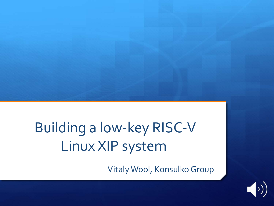# Building a low-key RISC-V Linux XIP system

Vitaly Wool, Konsulko Group

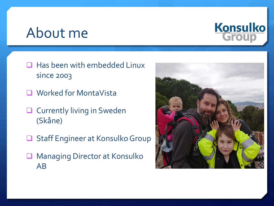### About me



- $\Box$  Has been with embedded Linux since 2003
- **Q** Worked for MontaVista
- **Q** Currently living in Sweden (Skåne)
- **Staff Engineer at Konsulko Group**
- **Q** Managing Director at Konsulko AB

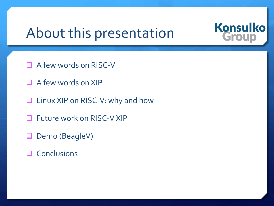# About this presentation



- $\Box$  A few words on RISC-V
- $\Box$  A few words on XIP
- $\Box$  Linux XIP on RISC-V: why and how
- **Q** Future work on RISC-V XIP
- Demo (BeagleV)
- $\Box$  Conclusions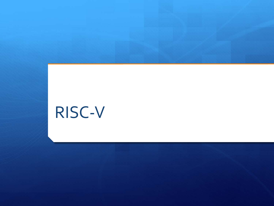# RISC-V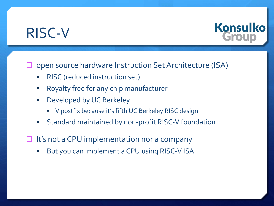# RISC-V



#### open source hardware Instruction Set Architecture (ISA)

- § RISC (reduced instruction set)
- **■** Royalty free for any chip manufacturer
- **•** Developed by UC Berkeley
	- § V postfix because it's fifth UC Berkeley RISC design
- **Standard maintained by non-profit RISC-V foundation**
- $\Box$  It's not a CPU implementation nor a company
	- But you can implement a CPU using RISC-V ISA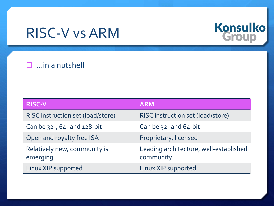# RISC-V vs ARM



#### $\Box$  ... in a nutshell

| <b>RISC-V</b>                            | <b>ARM</b>                                          |
|------------------------------------------|-----------------------------------------------------|
| RISC instruction set (load/store)        | RISC instruction set (load/store)                   |
| Can be $32 - 64 - 128 - bit$             | Can be $32 -$ and $64 - bit$                        |
| Open and royalty free ISA                | Proprietary, licensed                               |
| Relatively new, community is<br>emerging | Leading architecture, well-established<br>community |
| Linux XIP supported                      | Linux XIP supported                                 |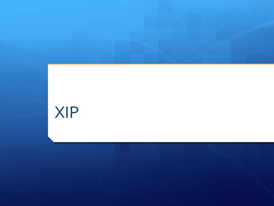# XIP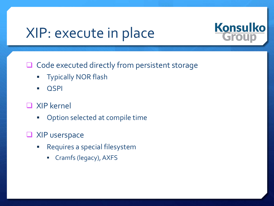# XIP: execute in place



 $\Box$  Code executed directly from persistent storage

- § Typically NOR flash
- § QSPI

#### q XIP kernel

- **•** Option selected at compile time
- $\Box$  XIP userspace
	- Requires a special filesystem
		- § Cramfs (legacy), AXFS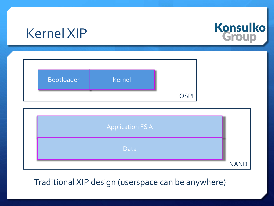# Kernel XIP



| Bootloader | Kernel |  |
|------------|--------|--|
|            |        |  |



#### Traditional XIP design (userspace can be anywhere)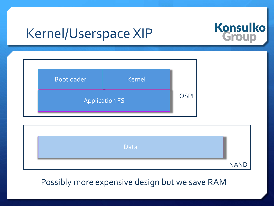# Kernel/Userspace XIP



| <b>Bootloader</b> | <b>Kernel</b>         |             |
|-------------------|-----------------------|-------------|
|                   | <b>Application FS</b> | <b>QSPI</b> |

| Data |             |
|------|-------------|
|      | <b>NAND</b> |

#### Possibly more expensive design but we save RAM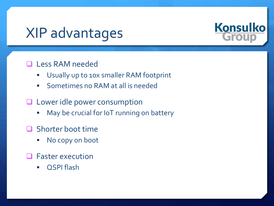# XIP advantages



#### **Q** Less RAM needed

- § Usually up to 10x smaller RAM footprint
- Sometimes no RAM at all is needed
- $\Box$  Lower idle power consumption
	- **May be crucial for IoT running on battery**
- $\Box$  Shorter boot time
	- No copy on boot
- Faster execution
	- QSPI flash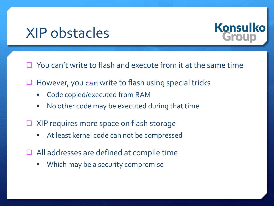# XIP obstacles



 $\Box$  You can't write to flash and execute from it at the same time

- $\Box$  However, you can write to flash using special tricks
	- § Code copied/executed from RAM
	- No other code may be executed during that time
- $\Box$  XIP requires more space on flash storage
	- At least kernel code can not be compressed
- $\Box$  All addresses are defined at compile time
	- **Which may be a security compromise**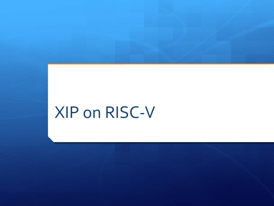# XIP on RISC-V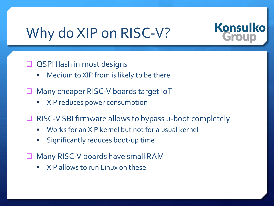# Why do XIP on RISC-V?



#### $\Box$  QSPI flash in most designs

- $\blacksquare$  Medium to XIP from is likely to be there
- **Many cheaper RISC-V boards target IoT** 
	- § XIP reduces power consumption
- **RISC-V SBI firmware allows to bypass u-boot completely** 
	- Works for an XIP kernel but not for a usual kernel
	- § Significantly reduces boot-up time
- **Q** Many RISC-V boards have small RAM
	- § XIP allows to run Linux on these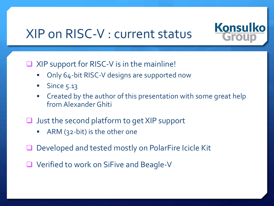### XIP on RISC-V : current status



 $\Box$  XIP support for RISC-V is in the mainline!

- § Only 64-bit RISC-V designs are supported now
- § Since 5.13
- § Created by the author of this presentation with some great help from Alexander Ghiti
- $\Box$  Just the second platform to get XIP support
	- § ARM (32-bit) is the other one
- Developed and tested mostly on PolarFire Icicle Kit
- **■** Verified to work on SiFive and Beagle-V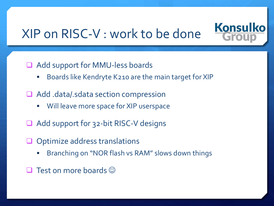# XIP on RISC-V : work to be done



- Add support for MMU-less boards
	- Boards like Kendryte K210 are the main target for XIP
- $\Box$  Add .data/.sdata section compression
	- Will leave more space for XIP userspace
- Add support for 32-bit RISC-V designs
- $\Box$  Optimize address translations
	- § Branching on "NOR flash vs RAM" slows down things
- Test on more boards  $\odot$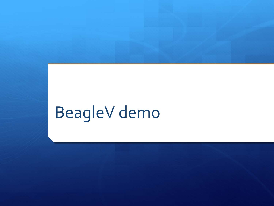# BeagleV demo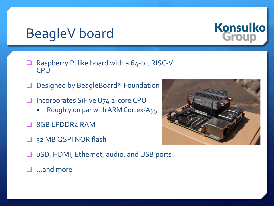# BeagleV board



- **Q** Raspberry Pi like board with a  $64$ -bit RISC-V **CPU**
- Designed by BeagleBoard® Foundation
- **■** Incorporates SiFive U74 2-core CPU
	- Roughly on par with ARM Cortex-A55
- **Q** 8GB LPDDR<sub>4</sub> RAM
- **Q** 32 MB QSPI NOR flash



- uSD, HDMI, Ethernet, audio, and USB ports
- $\Box$  …and more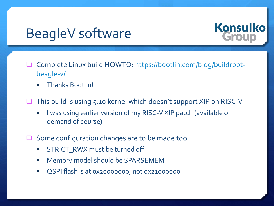# BeagleV software



- [Complete Linux build HOWTO: https://bootlin.com/blog/buildroot](https://bootlin.com/blog/buildroot-beagle-v/)beagle-v/
	- § Thanks Bootlin!
- **■** This build is using 5.10 kernel which doesn't support XIP on RISC-V
	- I was using earlier version of my RISC-V XIP patch (available on demand of course)
- $\Box$  Some configuration changes are to be made too
	- STRICT\_RWX must be turned off
	- § Memory model should be SPARSEMEM
	- QSPI flash is at 0x20000000, not 0x21000000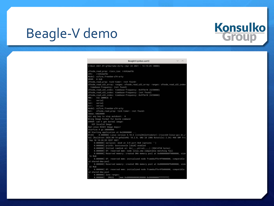# Beagle-V demo

|                                                    | BeagleV:sysbus.uart3                                                                                              | $\wedge$ |
|----------------------------------------------------|-------------------------------------------------------------------------------------------------------------------|----------|
|                                                    | U-Boot 2021.01-g7dac1a6e-dirty (Apr 22 2021 - 13:15:25 +0000)                                                     |          |
| ofnode_read_prop: riscv.isa: rv64imafdc            |                                                                                                                   |          |
| CPU: rv64imafdc                                    |                                                                                                                   |          |
| Model: sifive, freedom-u74-arty                    |                                                                                                                   |          |
| DRAM: 8 G1B                                        |                                                                                                                   |          |
| ofnode_read_prop: tick-timer: <not found=""></not> |                                                                                                                   |          |
|                                                    | ofnode_read_u32_array: ranges: ofnode_read_u32_array: ranges: ofnode_read_u32_index                               |          |
| : timebase-frequency: (not found)                  |                                                                                                                   |          |
|                                                    | ofnode_read_u32_index: timebase-frequency: 0x5f5e10 (6250000)                                                     |          |
|                                                    | ofnode_read_u32_index: timebase-frequency: (not found)                                                            |          |
|                                                    | ofnode_read_u32_index: timebase-frequency: 0x5f5e10 (6250000)                                                     |          |
| MMC: VIC DWMMC0: 0                                 |                                                                                                                   |          |
| In: serial                                         |                                                                                                                   |          |
| serial<br>Out:                                     |                                                                                                                   |          |
| Err: serial                                        |                                                                                                                   |          |
| Model: sifive, freedom-u74-arty                    |                                                                                                                   |          |
|                                                    | Net: ofnode_read_prop: tick-timer: <not found=""></not>                                                           |          |
| dwmac.10020000                                     |                                                                                                                   |          |
| Hit any key to stop autoboot: 0                    |                                                                                                                   |          |
| Wrong Image Format for bootm command               |                                                                                                                   |          |
| ERROR: can't get kernel image!                     |                                                                                                                   |          |
| XIP Invalid Image                                  |                                                                                                                   |          |
| Bad Linux RISCV Image magic!                       |                                                                                                                   |          |
| StarFive # go 20000000                             |                                                                                                                   |          |
| ## Starting application at 0x20000000              |                                                                                                                   |          |
| 012DI                                              | 0.000000] Linux version 5.10.6 (vital@slottsdator) (riscv64-linux-qcc.br_r                                        |          |
|                                                    | eal (Buildroot 2020.08-14-ge5a2a90) 10.2.0, GNU ld (GNU Binutils) 2.34) #88 SMP Fri                               |          |
| Sep 10 10:28:55 CEST 2021                          |                                                                                                                   |          |
|                                                    | 0.000000] earlycon: sbi0 at I/O port 0x0 (options '')                                                             |          |
| L                                                  | 0.000000] printk: bootconsole [sbi0] enabled<br>0.000000] Initial ramdisk at: 0x(____ptrval____) (99614720 bytes) |          |
|                                                    | 0.000000] OF: reserved mem: node linux.cma compatible matching fail                                               |          |
|                                                    | 0.000000] Reserved memory: created DMA memory pool at 0x000000000f9000000, size                                   |          |
| <b>16 MiB</b>                                      |                                                                                                                   |          |
|                                                    |                                                                                                                   |          |
| id shared-dma-pool                                 | 0.000000] OF: reserved mem: initialized node framebuffer@f9000000, compatible                                     |          |
|                                                    |                                                                                                                   |          |
|                                                    | 0.000000] Reserved memory: created DMA memory pool at 0x00000000fb000000, size                                    |          |
| 32 MiB                                             | 0.000000] OF: reserved mem: initialized node framebuffer@fb0000000, compatible                                    |          |
| id shared-dma-pool                                 |                                                                                                                   |          |
| 0.000000] Zone ranges:                             |                                                                                                                   |          |
|                                                    | 0.000000] DMA32 [mem 0x0000000080200000-0x00000000ffffffff]                                                       |          |
|                                                    |                                                                                                                   |          |

# **Konsulko**<br>Group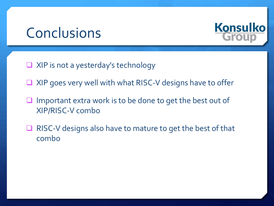## Conclusions



- $\Box$  XIP is not a yesterday's technology
- $\Box$  XIP goes very well with what RISC-V designs have to offer
- Important extra work is to be done to get the best out of XIP/RISC-V combo
- $\Box$  RISC-V designs also have to mature to get the best of that combo